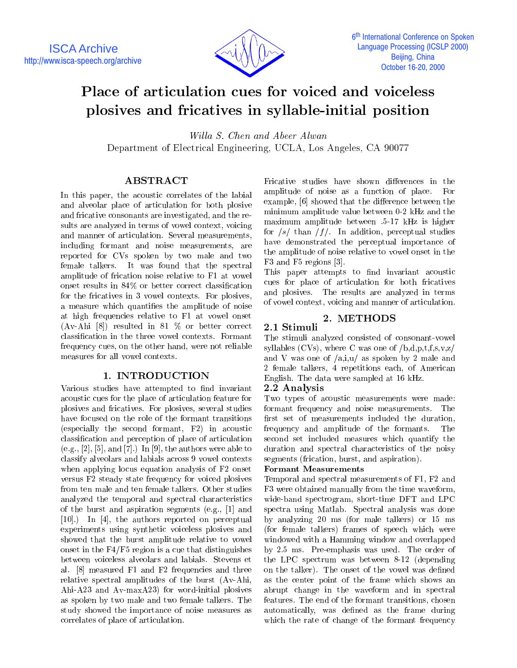

# Place of articulation cues for voiced and voiceless plosives and fricatives in syllable-initial position

Willa S. Chen and Abeer Alwan Department of Electrical Engineering, UCLA, Los Angeles, CA 90077

# ABSTRACT

In this paper, the acoustic correlates of the labial and alveolar place of articulation for both plosive and fricative consonants are investigated, and the results are analyzed in terms of vowel context, voicing and manner of articulation. Several measurements, including formant and noise measurements, are reported for CVs spoken by two male and two female talkers. It was found that the spectral amplitude of frication noise relative to F1 at vowel onset results in 84% or better correct classication for the fricatives in 3 vowel contexts. For plosives, a measure which quanties the amplitude of noise at high frequencies relative to F1 at vowel onset (Av-Ahi [8]) resulted in 81 % or better correct 2.1 Stimuli classication in the three vowel contexts. Formant frequency cues, on the other hand, were not reliable measures for all vowel contexts.

# 1. INTRODUCTION

Various studies have attempted to find invariant acoustic cues for the place of articulation feature for plosives and fricatives. For plosives, several studies have focused on the role of the formant transitions (especially the second formant, F2) in acoustic classication and perception of place of articulation  $(e.g., [2], [5], and [7].)$  In [9], the authors were able to classify alveolars and labials across 9 vowel contexts when applying locus equation analysis of F2 onset versus F2 steady state frequency for voiced plosives from ten male and ten female talkers. Other studies analyzed the temporal and spectral characteristics of the burst and aspiration segments (e.g., [1] and [10].) In [4], the authors reported on perceptual experiments using synthetic voiceless plosives and showed that the burst amplitude relative to vowel onset in the F4/F5 region is a cue that distinguishes between voiceless alveolars and labials. Stevens et al. [8] measured F1 and F2 frequencies and three relative spectral amplitudes of the burst (Av-Ahi, Ahi-A23 and Av-maxA23) for word-initial plosives as spoken by two male and two female talkers. The study showed the importance of noise measures as correlates of place of articulation.

Fricative studies have shown differences in the amplitude of noise as a function of place. For example, [6] showed that the difference between the minimum amplitude value between 0-2 kHz and the maximum amplitude between .5-17 kHz is higher for  $/s/$  than  $/f/$ . In addition, perceptual studies have demonstrated the perceptual importance of the amplitude of noise relative to vowel onset in the F3 and F5 regions [3].

This paper attempts to find invariant acoustic cues for place of articulation for both fricatives and plosives. The results are analyzed in terms of vowel context, voicing and manner of articulation.

## 2. METHODS

The stimuli analyzed consisted of consonant-vowel syllables (CVs), where C was one of  $/b,d,p,t,f,s,v,z/$ and V was one of /a,i,u/ as spoken by 2 male and 2 female talkers, 4 repetitions each, of American English. The data were sampled at 16 kHz.

### 2.2 Analysis

Two types of acoustic measurements were made: formant frequency and noise measurements. The first set of measurements included the duration, frequency and amplitude of the formants. The second set included measures which quantify the duration and spectral characteristics of the noisy segments (frication, burst, and aspiration).

#### Formant Measurements

Temporal and spectral measurements of F1, F2 and F3 were obtained manually from the time waveform, wide-band spectrogram, short-time DFT and LPC spectra using Matlab. Spectral analysis was done by analyzing 20 ms (for male talkers) or 15 ms (for female talkers) frames of speech which were windowed with a Hamming window and overlapped by 2.5 ms. Pre-emphasis was used. The order of the LPC spectrum was between 8-12 (depending on the talker). The onset of the vowel was defined as the center point of the frame which shows an abrupt change in the waveform and in spectral features. The end of the formant transitions, chosen automatically, was defined as the frame during which the rate of change of the formant frequency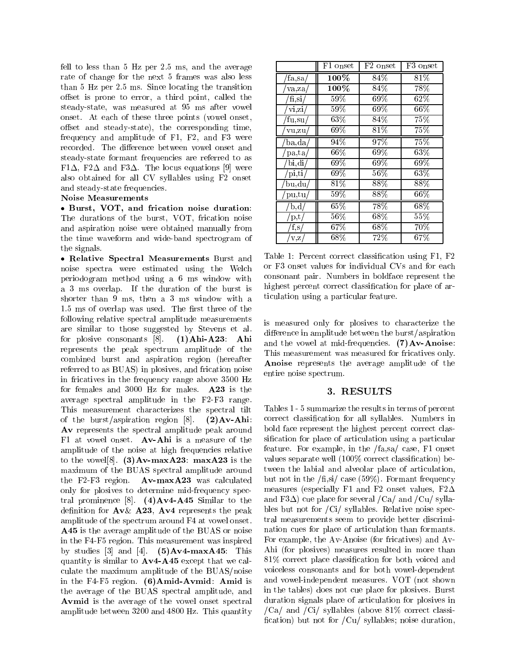fell to less than 5 Hz per 2.5 ms, and the average rate of change for the next 5 frames was also less than 5 Hz per 2.5 ms. Since locating the transition offset is prone to error, a third point, called the steady-state, was measured at 95 ms after vowel onset. At each of these three points (vowel onset, offset and steady-state), the corresponding time, frequency and amplitude of F1, F2, and F3 were recorded. The difference between vowel onset and steady-state formant frequencies are referred to as F1 $\Delta$ , F2 $\Delta$  and F3 $\Delta$ . The locus equations [9] were also obtained for all CV syllables using F2 onset and steady-state frequencies.

#### Noise Measurements

 Burst, VOT, and frication noise duration: The durations of the burst, VOT, frication noise and aspiration noise were obtained manually from the time waveform and wide-band spectrogram of the signals.

 Relative Spectral Measurements Burst and noise spectra were estimated using the Welch periodogram method using a 6 ms window with a 3 ms overlap. If the duration of the burst is shorter than 9 ms, then a 3 ms window with a 1.5 ms of overlap was used. The first three of the following relative spectral amplitude measurements are similar to those suggested by Stevens et al. for plosive consonants [8]. (1)Ahi-A23: Ahi represents the peak spectrum amplitude of the combined burst and aspiration region (hereafter referred to as BUAS) in plosives, and frication noise in fricatives in the frequency range above 3500 Hz for females and 3000 Hz for males. A23 is the average spectral amplitude in the F2-F3 range. This measurement characterizes the spectral tilt of the burst/aspiration region [8]. (2)Av-Ahi: Av represents the spectral amplitude peak around F1 at vowel onset. Av-Ahi is a measure of the amplitude of the noise at high frequencies relative to the vowel<sup>[8]</sup>. (3)Av-maxA23: maxA23 is the maximum of the BUAS spectral amplitude around the F2-F3 region.  $Av$ -max $A23$  was calculated only for plosives to determine mid-frequency spectral prominence [8].  $(4)$ Av4-A45 Similar to the definition for  $Av\&$  A23, Av4 represents the peak amplitude of the spectrum around F4 at vowel onset. A45 is the average amplitude of the BUAS or noise in the F4-F5 region. This measurement was inspired by studies [3] and [4].  $(5)$ Av4-maxA45: This quantity is similar to  $Av4-A45$  except that we calculate the maximum amplitude of the BUAS/noise in the F4-F5 region. (6)Amid-Avmid: Amid is the average of the BUAS spectral amplitude, and Avmid is the average of the vowel onset spectral amplitude between 3200 and 4800 Hz. This quantity

|                  | F1 onset | F2 onset | F3 onset |
|------------------|----------|----------|----------|
| fa,sa/           | $100\%$  | 84%      | $81\%$   |
| va,za/           | $100\%$  | 84%      | 78%      |
| $f_{\rm i,si}/$  | 59%      | 69%      | $62\%$   |
| vi, zi/          | $59\%$   | $69\%$   | $66\%$   |
| fu, su/          | $63\%$   | 84\%     | $75\%$   |
| vu,zu            | 69%      | $81\%$   | $75\%$   |
| ba, da/          | 94\%     | 97%      | 75%      |
| pa, ta/          | $66\%$   | 69%      | $63\%$   |
| bi, di/          | $69\%$   | $69\%$   | 69%      |
| $pi, \text{ti}/$ | $69\%$   | $56\%$   | $63\%$   |
| bu, du/          | $81\%$   | 88%      | 88%      |
| pu, tu           | $59\%$   | 88%      | $66\%$   |
| $_{\rm b,d}$     | $65\%$   | 78\%     | $68\%$   |
| p,t              | $56\%$   | $68\%$   | 55%      |
| f,s/             | $67\%$   | 68%      | 70%      |
| V,Z/             | $68\%$   | $72\%$   | $67\%$   |

Table 1: Percent correct classication using F1, F2 or F3 onset values for individual CVs and for each consonant pair. Numbers in boldface represent the highest percent correct classification for place of articulation using a particular feature.

is measured only for plosives to characterize the difference in amplitude between the burst/aspiration and the vowel at mid-frequencies.  $(7) Av-Anoise$ : This measurement was measured for fricatives only. Anoise represents the average amplitude of the entire noise spectrum.

#### 3. RESULTS

Tables 1 - 5 summarize the results in terms of percent correct classication for all syllables. Numbers in bold face represent the highest percent correct classication for place of articulation using a particular feature. For example, in the /fa,sa/ case, F1 onset values separate well (100% correct classification) between the labial and alveolar place of articulation, but not in the  $/f_{\rm i,si}/\csc(59\%)$ . Formant frequency measures (especially F1 and F2 onset values, F2 $\Delta$ and F3 $\Delta$ ) cue place for several /Ca/ and /Cu/ syllables but not for /Ci/ syllables. Relative noise spectral measurements seem to provide better discrimination cues for place of articulation than formants. For example, the Av-Anoise (for fricatives) and Av-Ahi (for plosives) measures resulted in more than 81% correct place classication for both voiced and voiceless consonants and for both vowel-dependent and vowel-independent measures. VOT (not shown in the tables) does not cue place for plosives. Burst duration signals place of articulation for plosives in  $/Ca/$  and  $/Ci/$  syllables (above 81% correct classification) but not for  $\text{/Cu/}$  syllables; noise duration,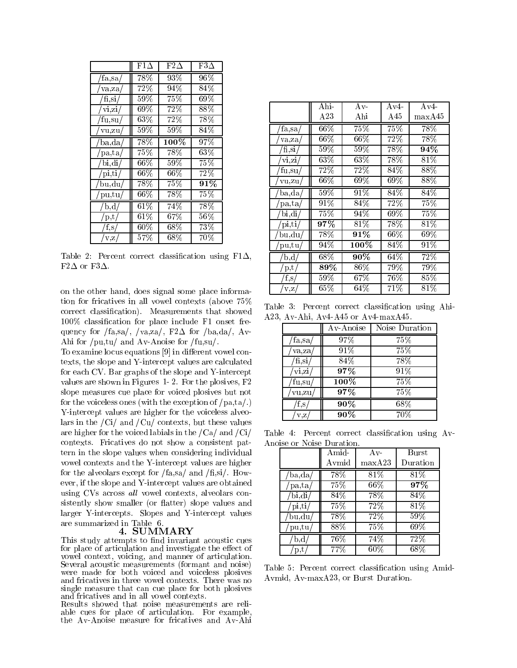|                  | $F1\Delta$ | $\mathrm{F2}\Delta$ | $F3\Delta$ |
|------------------|------------|---------------------|------------|
|                  |            |                     |            |
| $fa$ ,sa/        | 78\%       | 93%                 | 96%        |
| va, za           | $72\%$     | 94%                 | 84%        |
| $f_{1,s1}$       | $59\%$     | 75%                 | $69\%$     |
| vi, zi/          | $69\%$     | 72%                 | 88%        |
| fu,su,           | $63\%$     | 72%                 | 78%        |
| vu, zu/          | $59\%$     | $59\%$              | 84%        |
| $_{\rm ba, da/}$ | 78%        | $100\%$             | 97%        |
| pa,ta/           | 75%        | 78%                 | $63\%$     |
| bi, di/          | $66\%$     | $59\%$              | $75\%$     |
| pi, ti/          | $66\%$     | $66\%$              | 72%        |
| bu,du/           | 78%        | 75%                 | 91%        |
| pu, tu/          | $66\%$     | 78%                 | $75\%$     |
| $_{\rm b,d}$     | $61\%$     | 74%                 | 78%        |
| p,t              | $61\%$     | $67\%$              | $56\%$     |
| $\rm f,s/$       | $60\%$     | $68\%$              | 73%        |
| V,Z              | 57%        | 68%                 | $70\%$     |

Table 2: Percent correct classification using  $F1\Delta$ , F2 $\Delta$  or F3 $\Delta$ .

on the other hand, does signal some place information for fricatives in all vowel contexts (above 75% correct classication). Measurements that showed 100% classication for place include F1 onset frequency for /fa,sa/, /va,za/, F2 $\Delta$  for /ba,da/, Av-Ahi for /pu,tu/ and Av-Anoise for /fu,su/.

To examine locus equations [9] in different vowel contexts, the slope and Y-intercept values are calculated for each CV. Bar graphs of the slope and Y-intercept values are shown in Figures 1- 2. For the plosives, F2 slope measures cue place for voiced plosives but not for the voiceless ones (with the exception of  $/pa, ta/$ .) Y-intercept values are higher for the voiceless alveolars in the  $\overline{\text{Ci}}$  and  $\overline{\text{Cu}}$  contexts, but these values are higher for the voiced labials in the  $/Ca/$  and  $/Ci/$ contexts. Fricatives do not show a consistent pattern in the slope values when considering individual vowel contexts and the Y-intercept values are higher for the alveolars except for  $/fa$ , sa  $/$  and  $/fi$ , si $/$ . However, if the slope and Y-intercept values are obtained using CVs across all vowel contexts, alveolars consistently show smaller (or flatter) slope values and larger Y-intercepts. Slopes and Y-intercept values are summarized in Table 6.

#### 4. SUMMARY

This study attempts to find invariant acoustic cues for place of articulation and investigate the effect of vowel context, voicing, and manner of articulation. Several acoustic measurements (formant and noise) were made for both voiced and voiceless plosives and fricatives in three vowel contexts. There was no single measure that can cue place for both plosives and fricatives and in all vowel contexts.

Results showed that noise measurements are reliable cues for place of articulation. For example, the Av-Anoise measure for fricatives and Av-Ahi

|                                                  | Ahi-              | $Av-$   | $Av4-$ | $Av\overline{4}$ |
|--------------------------------------------------|-------------------|---------|--------|------------------|
|                                                  | A23               | Ahi     | A45    | maxA45           |
| fa,sa/                                           | $66\%$            | 75%     | 75%    | 78\%             |
| va,za                                            | $66\%$            | $66\%$  | $72\%$ | 78%              |
| $\sqrt[\text{fi}, \text{si}/\sqrt[3]{\text{fi}}$ | $59\%$            | $59\%$  | 78%    | $94\%$           |
| $\overline{vi,zi}$                               | $63\%$            | $63\%$  | $78\%$ | $81\%$           |
| fu,su                                            | 72%               | 72%     | 84%    | 88%              |
| vu, zu/                                          | $66\%$            | 69%     | 69%    | 88%              |
| ba,da/                                           | $59\%$            | $91\%$  | 84%    | 84%              |
| pa, ta/                                          | $91\%$            | 84%     | $72\%$ | 75%              |
| bi, di/                                          | $75\%$            | $94\%$  | $69\%$ | 75%              |
| pi, ti/                                          | 97%               | 81%     | 78%    | $81\%$           |
| bu, du/                                          | 78%               | $91\%$  | $66\%$ | 69%              |
| pu, tu                                           | 94%               | $100\%$ | 84%    | $91\%$           |
| $\mathbf{b}, \mathbf{d}$                         | $68\%$            | $90\%$  | $64\%$ | 72%              |
| p, t                                             | $\overline{89\%}$ | 86%     | 79%    | 79%              |
| f, s                                             | 59%               | $67\%$  | $76\%$ | 85%              |
| V, Z                                             | 65%               | $64\%$  | 71%    | 81\%             |

Table 3: Percent correct classification using Ahi-A23, Av-Ahi, Av4-A45 or Av4-maxA45.

|         | A v-A noise | Noise Duration |
|---------|-------------|----------------|
| 'fa,sa/ | 97%         | 75%            |
| va, za, | $91\%$      | 75%            |
| 'fi,si  | 84%         | 78%            |
| vi,zi   | 97%         | 91%            |
| fu,su   | $100\%$     | 75%            |
| vu,zu   | $97\%$      | 75%            |
| t.s,    | $90\%$      | 68%            |
| v.z     | $90\%$      | 70%            |

Table 4: Percent correct classification using Av-

|                   | Amid-  | $A v -$ | Burst    |
|-------------------|--------|---------|----------|
|                   | Avmid  | maxA23  | Duration |
| $_{\rm ba, da/}$  | 78%    | $81\%$  | $81\%$   |
| pa, ta            | $75\%$ | $66\%$  | 97%      |
| bi, di/           | $84\%$ | 78\%    | 84%      |
| pi, ti            | $75\%$ | $72\%$  | $81\%$   |
| $_{\text{bu,du}}$ | 78%    | $72\%$  | $59\%$   |
| pu,tu,            | $88\%$ | $75\%$  | $69\%$   |
| b,d               | $76\%$ | 74\%    | 72%      |
| $_{\rm p,t}$      | $77\%$ | $60\%$  | $68\%$   |

Table 5: Percent correct classification using Amid-Avmid, Av-maxA23, or Burst Duration.